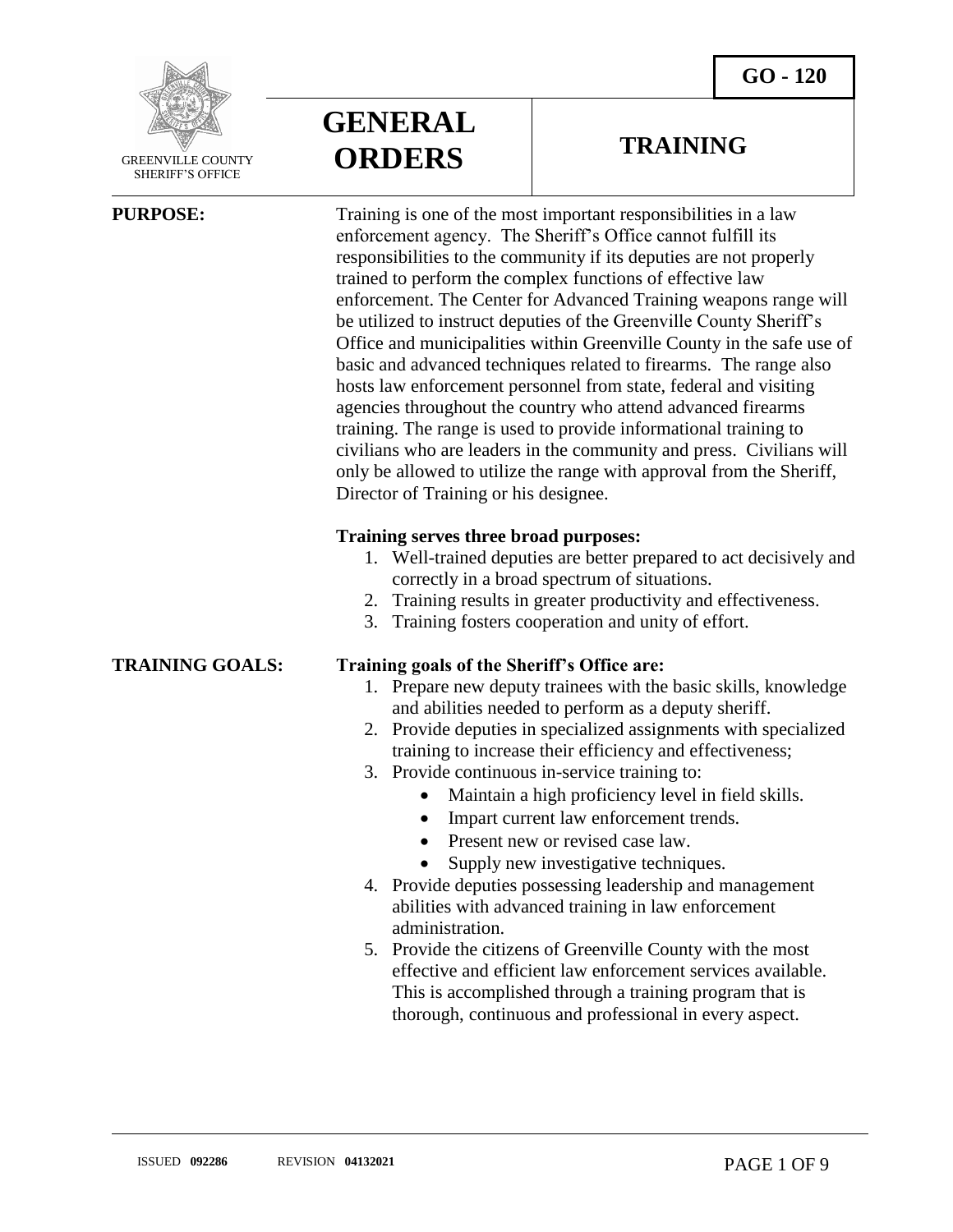

 GREENVILLE COUNTY SHERIFF'S OFFICE

 $\overline{a}$ 

**GENERAL ORDERS**

### **TRAINING**

**PURPOSE:** Training is one of the most important responsibilities in a law enforcement agency. The Sheriff's Office cannot fulfill its responsibilities to the community if its deputies are not properly trained to perform the complex functions of effective law enforcement. The Center for Advanced Training weapons range will be utilized to instruct deputies of the Greenville County Sheriff's Office and municipalities within Greenville County in the safe use of basic and advanced techniques related to firearms. The range also hosts law enforcement personnel from state, federal and visiting agencies throughout the country who attend advanced firearms training. The range is used to provide informational training to civilians who are leaders in the community and press. Civilians will only be allowed to utilize the range with approval from the Sheriff, Director of Training or his designee.

### **Training serves three broad purposes:**

- 1. Well-trained deputies are better prepared to act decisively and correctly in a broad spectrum of situations.
- 2. Training results in greater productivity and effectiveness.
- 3. Training fosters cooperation and unity of effort.

### **TRAINING GOALS: Training goals of the Sheriff's Office are:**

- 1. Prepare new deputy trainees with the basic skills, knowledge and abilities needed to perform as a deputy sheriff.
- 2. Provide deputies in specialized assignments with specialized training to increase their efficiency and effectiveness;
- 3. Provide continuous in-service training to:
	- Maintain a high proficiency level in field skills.
	- Impart current law enforcement trends.
	- Present new or revised case law.
	- Supply new investigative techniques.
- 4. Provide deputies possessing leadership and management abilities with advanced training in law enforcement administration.
- 5. Provide the citizens of Greenville County with the most effective and efficient law enforcement services available. This is accomplished through a training program that is thorough, continuous and professional in every aspect.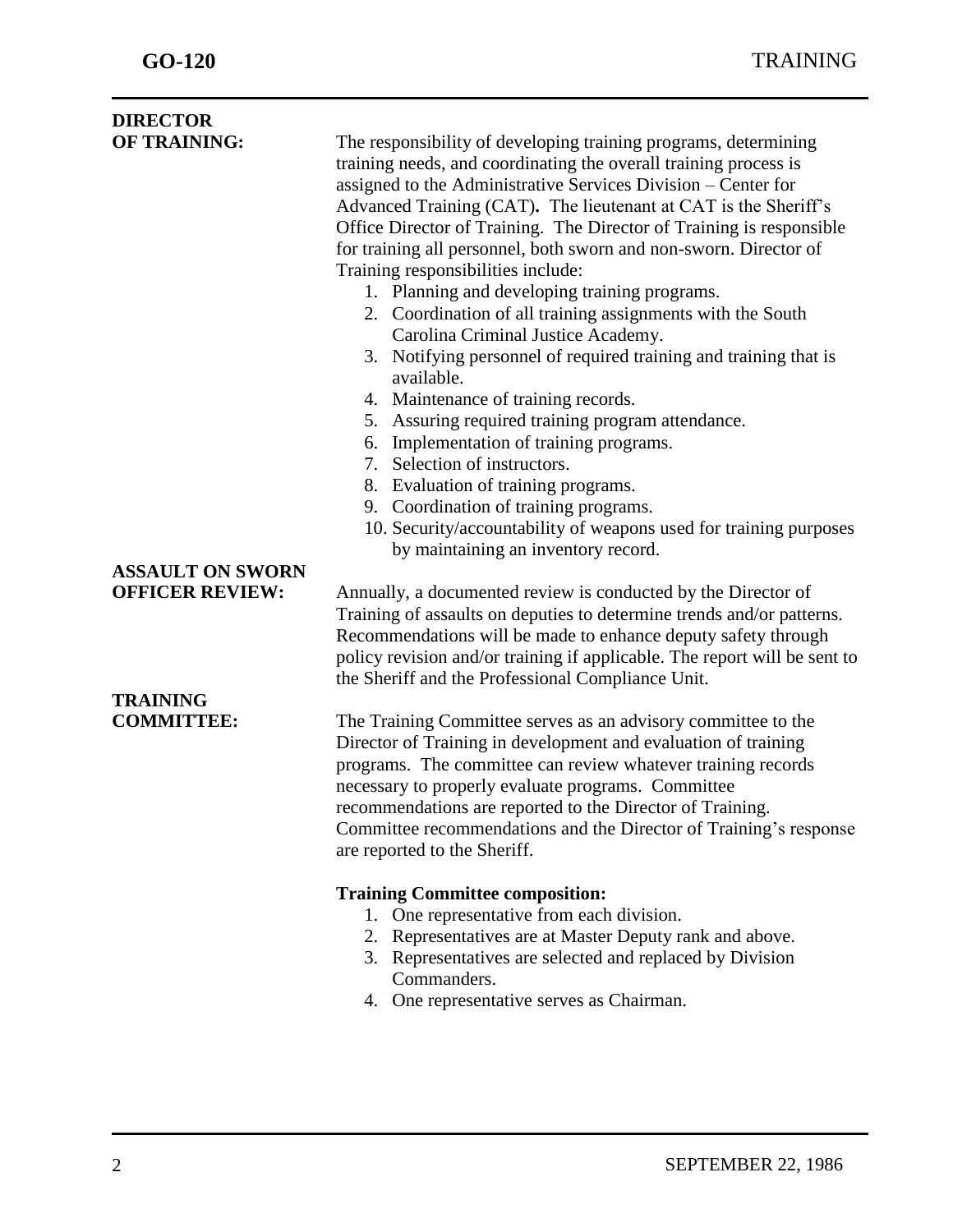| <b>DIRECTOR</b>         |                                                                                |
|-------------------------|--------------------------------------------------------------------------------|
| <b>OF TRAINING:</b>     | The responsibility of developing training programs, determining                |
|                         | training needs, and coordinating the overall training process is               |
|                         | assigned to the Administrative Services Division - Center for                  |
|                         | Advanced Training (CAT). The lieutenant at CAT is the Sheriff's                |
|                         | Office Director of Training. The Director of Training is responsible           |
|                         | for training all personnel, both sworn and non-sworn. Director of              |
|                         | Training responsibilities include:                                             |
|                         | 1. Planning and developing training programs.                                  |
|                         | 2. Coordination of all training assignments with the South                     |
|                         | Carolina Criminal Justice Academy.                                             |
|                         | 3. Notifying personnel of required training and training that is<br>available. |
|                         | 4. Maintenance of training records.                                            |
|                         | 5. Assuring required training program attendance.                              |
|                         | Implementation of training programs.<br>6.                                     |
|                         | 7. Selection of instructors.                                                   |
|                         | 8. Evaluation of training programs.                                            |
|                         | 9. Coordination of training programs.                                          |
|                         | 10. Security/accountability of weapons used for training purposes              |
|                         | by maintaining an inventory record.                                            |
| <b>ASSAULT ON SWORN</b> |                                                                                |
| <b>OFFICER REVIEW:</b>  | Annually, a documented review is conducted by the Director of                  |
|                         | Training of assaults on deputies to determine trends and/or patterns.          |
|                         | Recommendations will be made to enhance deputy safety through                  |
|                         | policy revision and/or training if applicable. The report will be sent to      |
|                         | the Sheriff and the Professional Compliance Unit.                              |
| <b>TRAINING</b>         |                                                                                |
| <b>COMMITTEE:</b>       | The Training Committee serves as an advisory committee to the                  |
|                         | Director of Training in development and evaluation of training                 |
|                         | programs. The committee can review whatever training records                   |
|                         | necessary to properly evaluate programs. Committee                             |
|                         | recommendations are reported to the Director of Training.                      |
|                         | Committee recommendations and the Director of Training's response              |
|                         | are reported to the Sheriff.                                                   |
|                         | <b>Training Committee composition:</b>                                         |
|                         | One representative from each division.<br>1.                                   |
|                         | Representatives are at Master Deputy rank and above.<br>2.                     |
|                         | 3. Representatives are selected and replaced by Division                       |
|                         | Commanders.                                                                    |
|                         | One representative serves as Chairman.<br>4.                                   |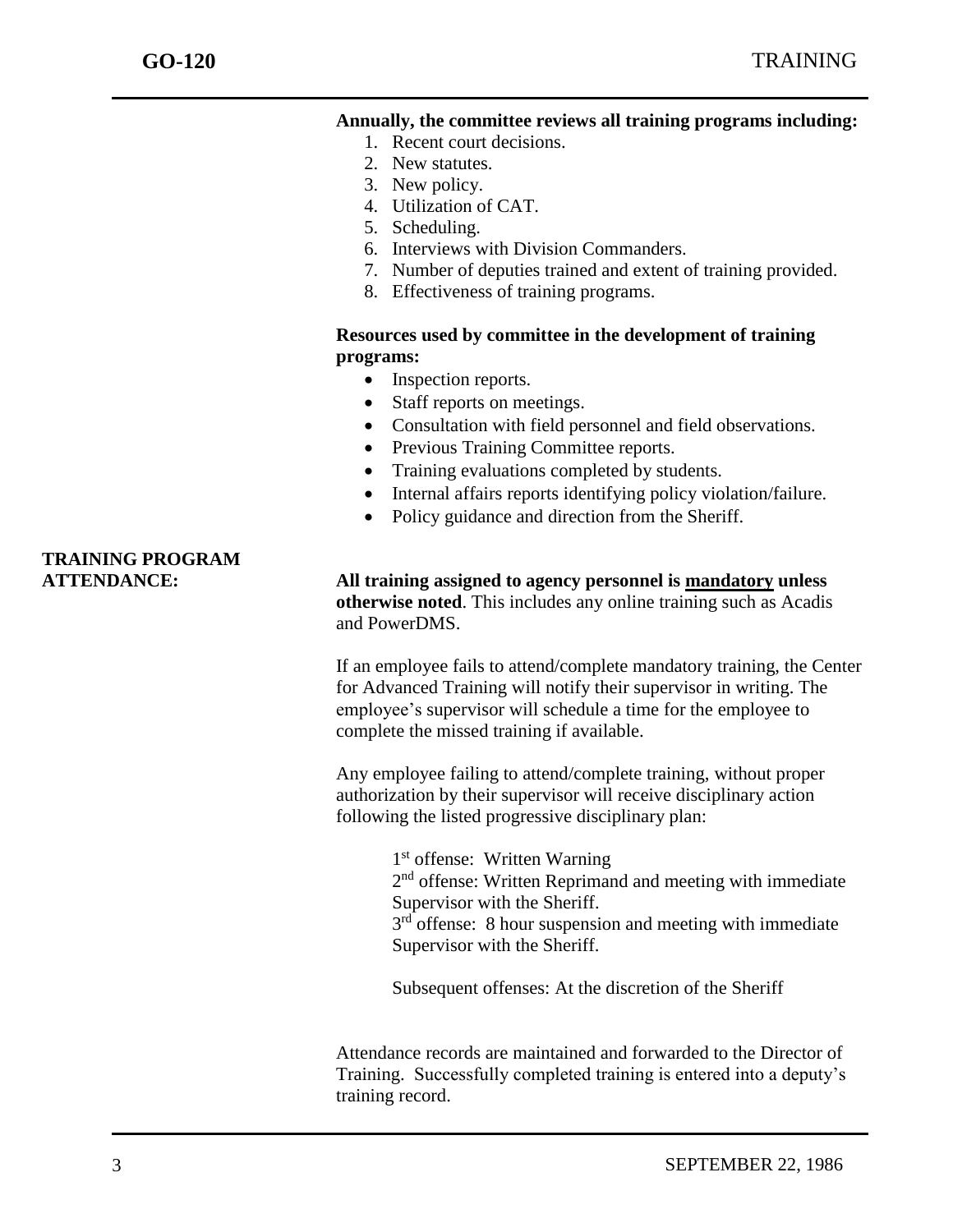### **Annually, the committee reviews all training programs including:**

- 1. Recent court decisions.
- 2. New statutes.
- 3. New policy.
- 4. Utilization of CAT.
- 5. Scheduling.
- 6. Interviews with Division Commanders.
- 7. Number of deputies trained and extent of training provided.
- 8. Effectiveness of training programs.

### **Resources used by committee in the development of training programs:**

- Inspection reports.
- Staff reports on meetings.
- Consultation with field personnel and field observations.
- Previous Training Committee reports.
- Training evaluations completed by students.
- Internal affairs reports identifying policy violation/failure.
- Policy guidance and direction from the Sheriff.

### **ATTENDANCE: All training assigned to agency personnel is mandatory unless otherwise noted**. This includes any online training such as Acadis and PowerDMS.

If an employee fails to attend/complete mandatory training, the Center for Advanced Training will notify their supervisor in writing. The employee's supervisor will schedule a time for the employee to complete the missed training if available.

Any employee failing to attend/complete training, without proper authorization by their supervisor will receive disciplinary action following the listed progressive disciplinary plan:

> 1 st offense: Written Warning 2<sup>nd</sup> offense: Written Reprimand and meeting with immediate Supervisor with the Sheriff.  $3<sup>rd</sup>$  offense: 8 hour suspension and meeting with immediate Supervisor with the Sheriff.

Subsequent offenses: At the discretion of the Sheriff

Attendance records are maintained and forwarded to the Director of Training. Successfully completed training is entered into a deputy's training record.

## **TRAINING PROGRAM**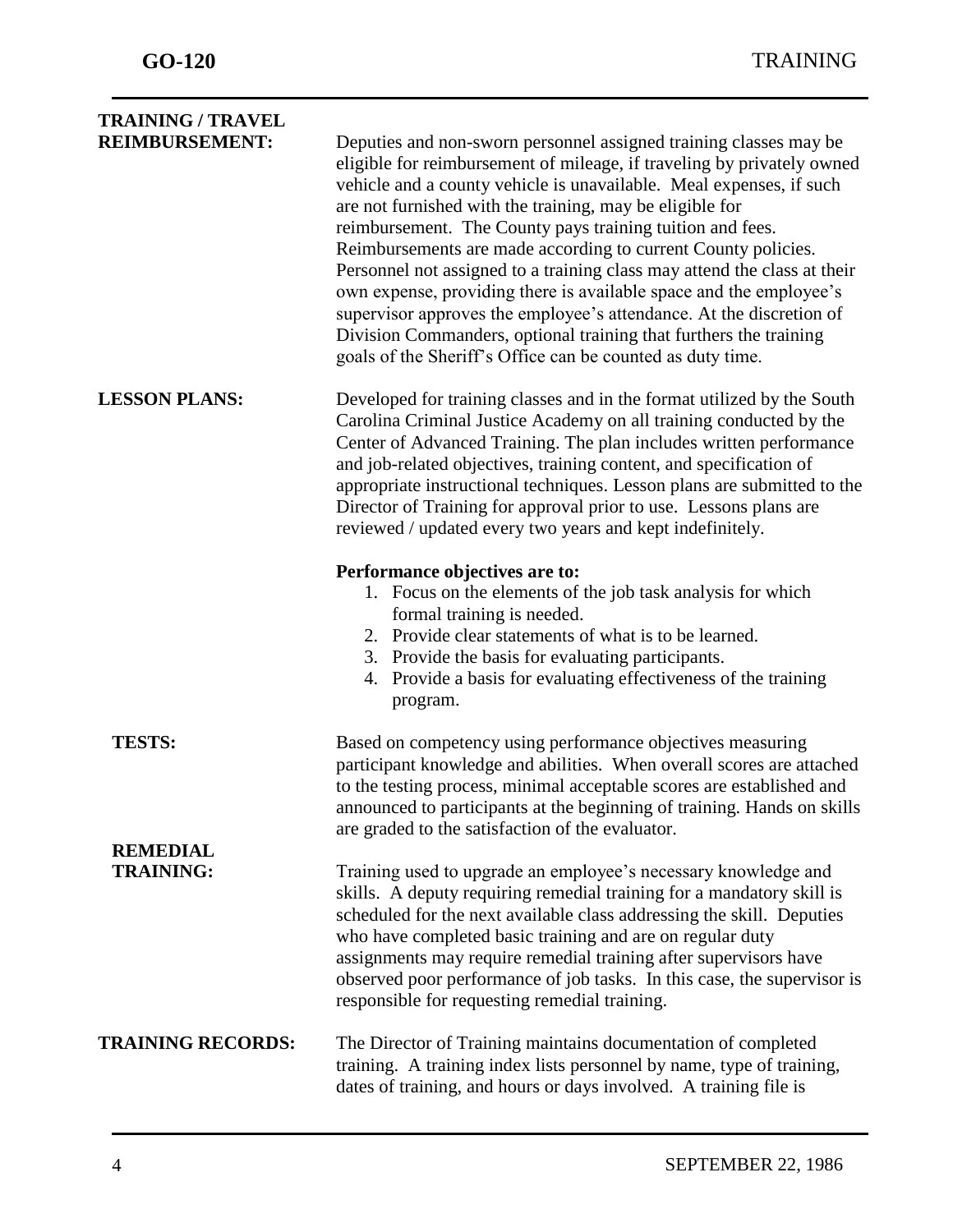| <b>TRAINING / TRAVEL</b>            |                                                                                                                                                                                                                                                                                                                                                                                                                                                                                                                                                                                                                                                                                                                                                                          |
|-------------------------------------|--------------------------------------------------------------------------------------------------------------------------------------------------------------------------------------------------------------------------------------------------------------------------------------------------------------------------------------------------------------------------------------------------------------------------------------------------------------------------------------------------------------------------------------------------------------------------------------------------------------------------------------------------------------------------------------------------------------------------------------------------------------------------|
| <b>REIMBURSEMENT:</b>               | Deputies and non-sworn personnel assigned training classes may be<br>eligible for reimbursement of mileage, if traveling by privately owned<br>vehicle and a county vehicle is unavailable. Meal expenses, if such<br>are not furnished with the training, may be eligible for<br>reimbursement. The County pays training tuition and fees.<br>Reimbursements are made according to current County policies.<br>Personnel not assigned to a training class may attend the class at their<br>own expense, providing there is available space and the employee's<br>supervisor approves the employee's attendance. At the discretion of<br>Division Commanders, optional training that furthers the training<br>goals of the Sheriff's Office can be counted as duty time. |
| <b>LESSON PLANS:</b>                | Developed for training classes and in the format utilized by the South<br>Carolina Criminal Justice Academy on all training conducted by the<br>Center of Advanced Training. The plan includes written performance<br>and job-related objectives, training content, and specification of<br>appropriate instructional techniques. Lesson plans are submitted to the<br>Director of Training for approval prior to use. Lessons plans are<br>reviewed / updated every two years and kept indefinitely.                                                                                                                                                                                                                                                                    |
|                                     | Performance objectives are to:<br>1. Focus on the elements of the job task analysis for which<br>formal training is needed.<br>2. Provide clear statements of what is to be learned.<br>3. Provide the basis for evaluating participants.<br>4. Provide a basis for evaluating effectiveness of the training<br>program.                                                                                                                                                                                                                                                                                                                                                                                                                                                 |
| <b>TESTS:</b>                       | Based on competency using performance objectives measuring<br>participant knowledge and abilities. When overall scores are attached<br>to the testing process, minimal acceptable scores are established and<br>announced to participants at the beginning of training. Hands on skills<br>are graded to the satisfaction of the evaluator.                                                                                                                                                                                                                                                                                                                                                                                                                              |
| <b>REMEDIAL</b><br><b>TRAINING:</b> | Training used to upgrade an employee's necessary knowledge and<br>skills. A deputy requiring remedial training for a mandatory skill is<br>scheduled for the next available class addressing the skill. Deputies<br>who have completed basic training and are on regular duty<br>assignments may require remedial training after supervisors have<br>observed poor performance of job tasks. In this case, the supervisor is<br>responsible for requesting remedial training.                                                                                                                                                                                                                                                                                            |
| <b>TRAINING RECORDS:</b>            | The Director of Training maintains documentation of completed<br>training. A training index lists personnel by name, type of training,<br>dates of training, and hours or days involved. A training file is                                                                                                                                                                                                                                                                                                                                                                                                                                                                                                                                                              |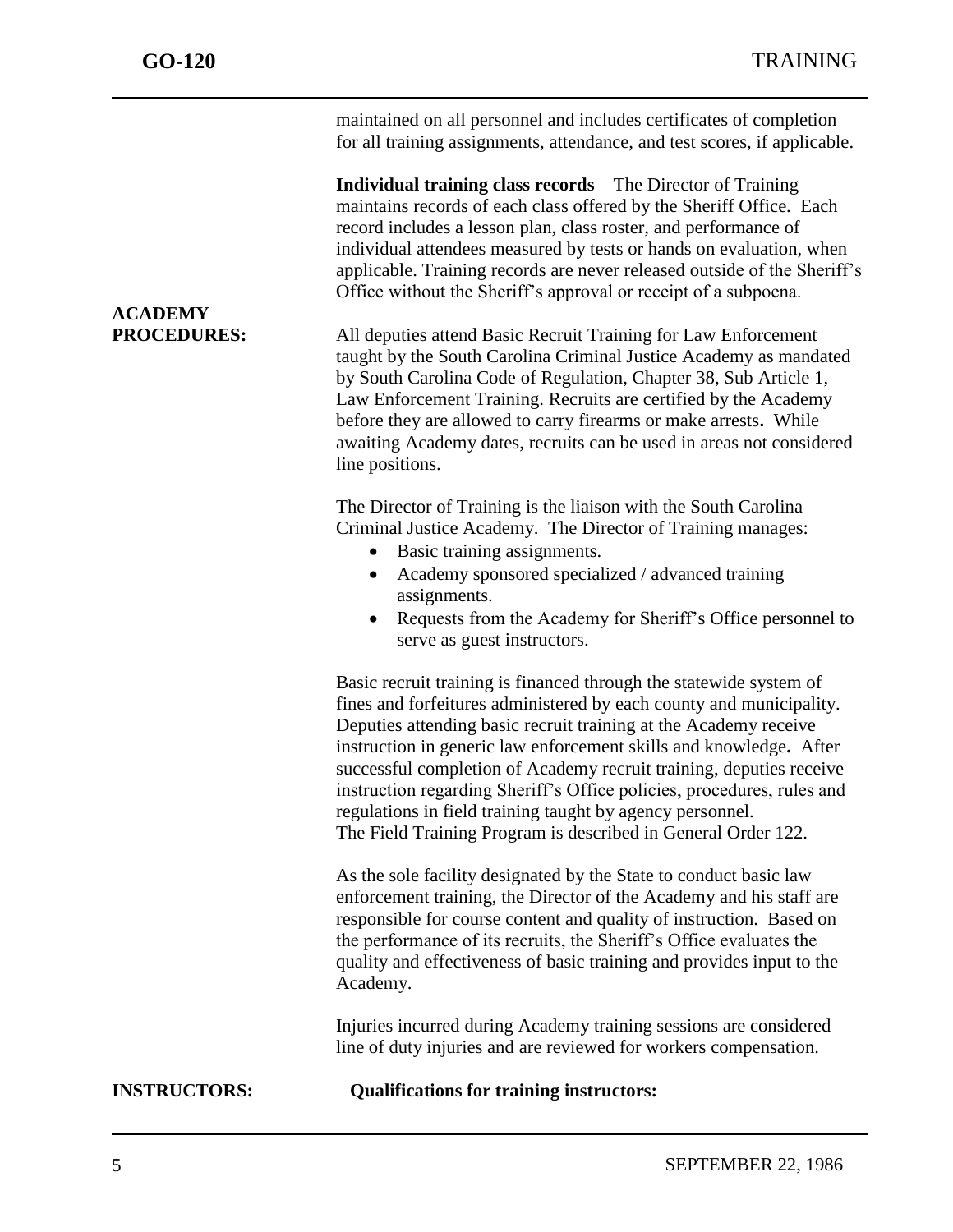| <b>INSTRUCTORS:</b>                  | <b>Qualifications for training instructors:</b>                                                                                                                                                                                                                                                                                                                                                                                                                                                                                                                    |
|--------------------------------------|--------------------------------------------------------------------------------------------------------------------------------------------------------------------------------------------------------------------------------------------------------------------------------------------------------------------------------------------------------------------------------------------------------------------------------------------------------------------------------------------------------------------------------------------------------------------|
|                                      | Injuries incurred during Academy training sessions are considered<br>line of duty injuries and are reviewed for workers compensation.                                                                                                                                                                                                                                                                                                                                                                                                                              |
|                                      | As the sole facility designated by the State to conduct basic law<br>enforcement training, the Director of the Academy and his staff are<br>responsible for course content and quality of instruction. Based on<br>the performance of its recruits, the Sheriff's Office evaluates the<br>quality and effectiveness of basic training and provides input to the<br>Academy.                                                                                                                                                                                        |
|                                      | Basic recruit training is financed through the statewide system of<br>fines and forfeitures administered by each county and municipality.<br>Deputies attending basic recruit training at the Academy receive<br>instruction in generic law enforcement skills and knowledge. After<br>successful completion of Academy recruit training, deputies receive<br>instruction regarding Sheriff's Office policies, procedures, rules and<br>regulations in field training taught by agency personnel.<br>The Field Training Program is described in General Order 122. |
|                                      | The Director of Training is the liaison with the South Carolina<br>Criminal Justice Academy. The Director of Training manages:<br>Basic training assignments.<br>Academy sponsored specialized / advanced training<br>$\bullet$<br>assignments.<br>Requests from the Academy for Sheriff's Office personnel to<br>serve as guest instructors.                                                                                                                                                                                                                      |
| <b>ACADEMY</b><br><b>PROCEDURES:</b> | All deputies attend Basic Recruit Training for Law Enforcement<br>taught by the South Carolina Criminal Justice Academy as mandated<br>by South Carolina Code of Regulation, Chapter 38, Sub Article 1,<br>Law Enforcement Training. Recruits are certified by the Academy<br>before they are allowed to carry firearms or make arrests. While<br>awaiting Academy dates, recruits can be used in areas not considered<br>line positions.                                                                                                                          |
|                                      | <b>Individual training class records</b> – The Director of Training<br>maintains records of each class offered by the Sheriff Office. Each<br>record includes a lesson plan, class roster, and performance of<br>individual attendees measured by tests or hands on evaluation, when<br>applicable. Training records are never released outside of the Sheriff's<br>Office without the Sheriff's approval or receipt of a subpoena.                                                                                                                                |
|                                      | maintained on all personnel and includes certificates of completion<br>for all training assignments, attendance, and test scores, if applicable.                                                                                                                                                                                                                                                                                                                                                                                                                   |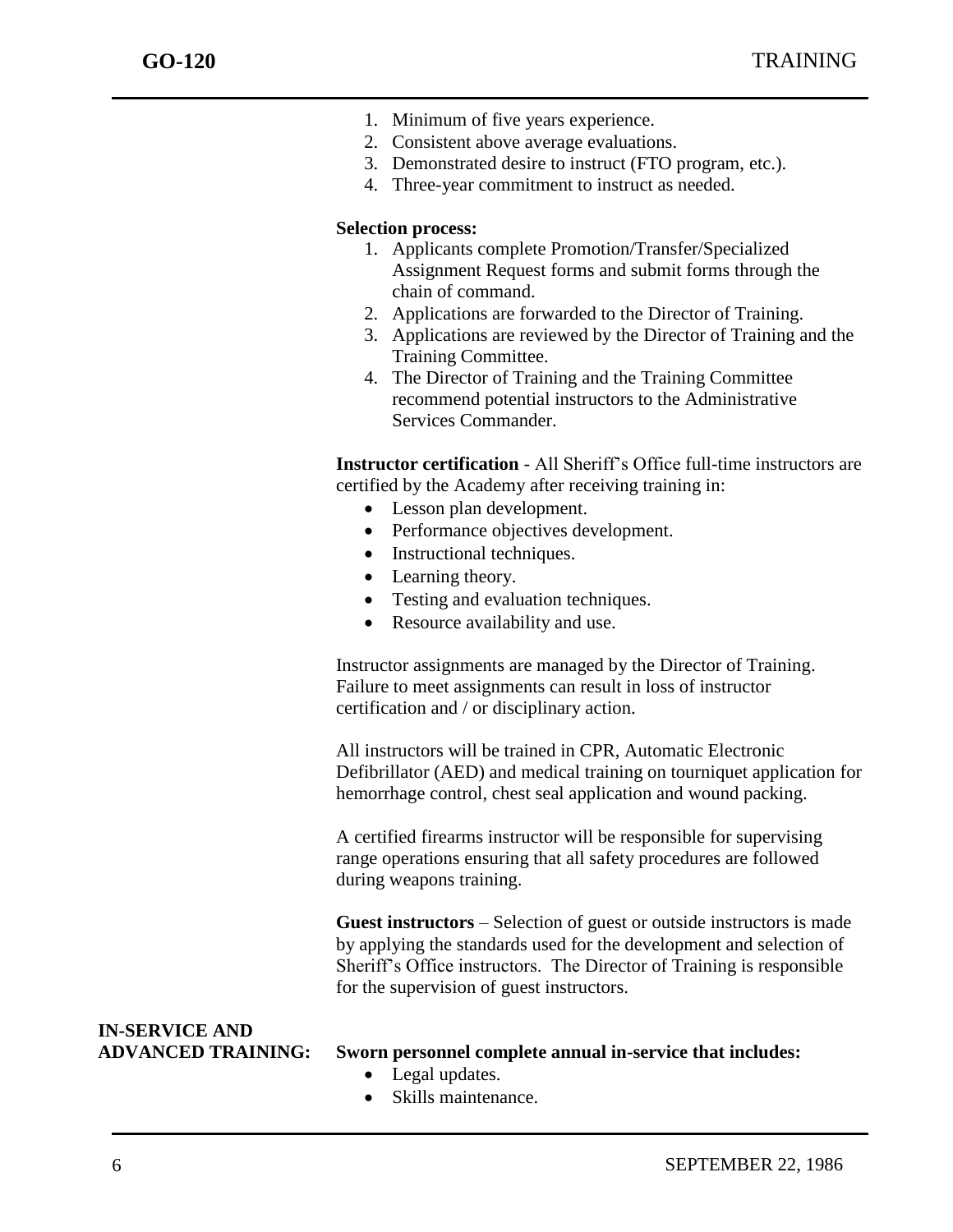- 1. Minimum of five years experience.
- 2. Consistent above average evaluations.
- 3. Demonstrated desire to instruct (FTO program, etc.).
- 4. Three-year commitment to instruct as needed.

#### **Selection process:**

- 1. Applicants complete Promotion/Transfer/Specialized Assignment Request forms and submit forms through the chain of command.
- 2. Applications are forwarded to the Director of Training.
- 3. Applications are reviewed by the Director of Training and the Training Committee.
- 4. The Director of Training and the Training Committee recommend potential instructors to the Administrative Services Commander.

**Instructor certification** - All Sheriff's Office full-time instructors are certified by the Academy after receiving training in:

- Lesson plan development.
- Performance objectives development.
- Instructional techniques.
- Learning theory.
- Testing and evaluation techniques.
- Resource availability and use.

Instructor assignments are managed by the Director of Training. Failure to meet assignments can result in loss of instructor certification and / or disciplinary action.

All instructors will be trained in CPR, Automatic Electronic Defibrillator (AED) and medical training on tourniquet application for hemorrhage control, chest seal application and wound packing.

A certified firearms instructor will be responsible for supervising range operations ensuring that all safety procedures are followed during weapons training.

**Guest instructors** – Selection of guest or outside instructors is made by applying the standards used for the development and selection of Sheriff's Office instructors. The Director of Training is responsible for the supervision of guest instructors.

# **IN-SERVICE AND**

### **ADVANCED TRAINING: Sworn personnel complete annual in-service that includes:**

- Legal updates.
- Skills maintenance.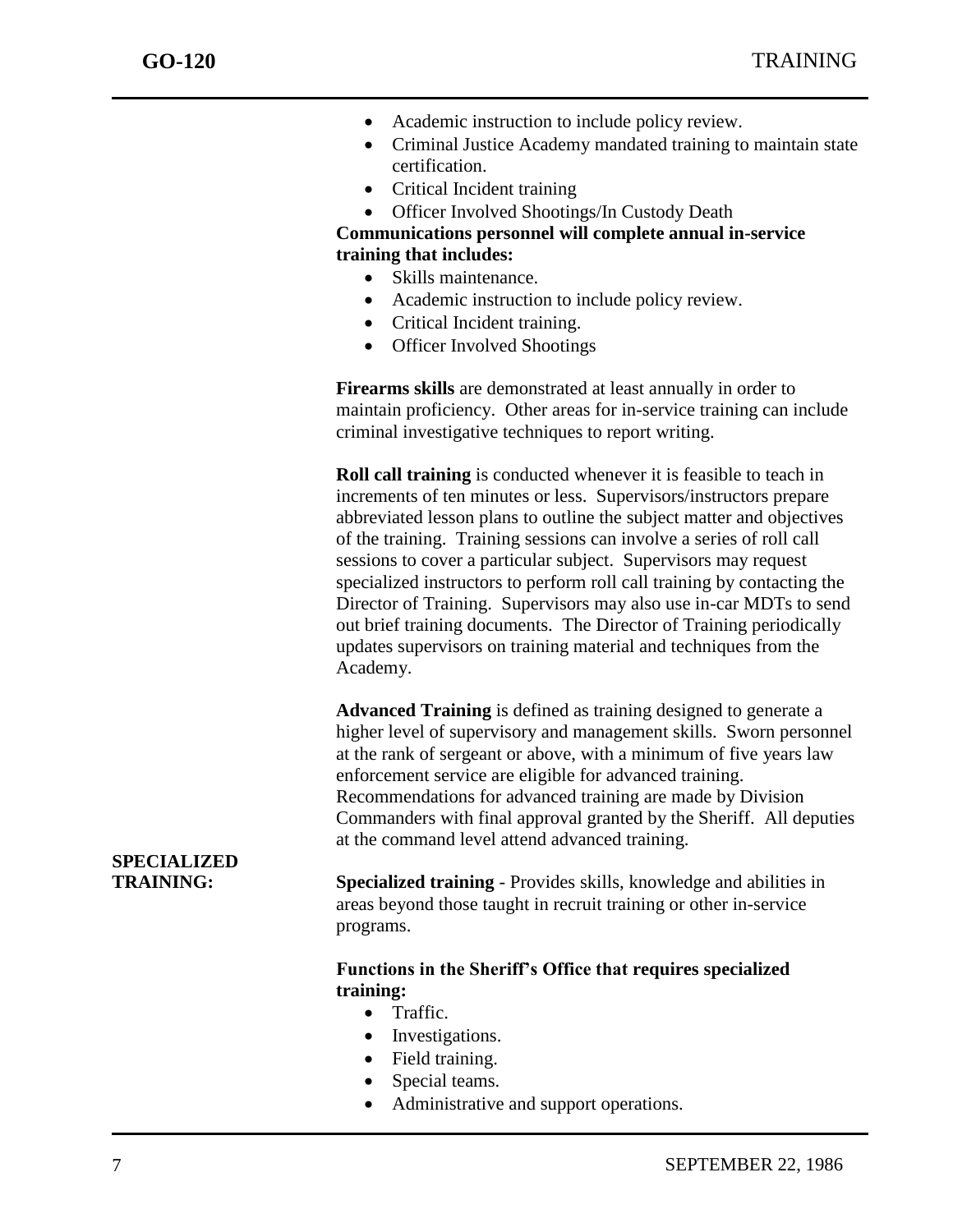- Academic instruction to include policy review.
- Criminal Justice Academy mandated training to maintain state certification.
- Critical Incident training
- Officer Involved Shootings/In Custody Death

**Communications personnel will complete annual in-service training that includes:**

- Skills maintenance.
- Academic instruction to include policy review.
- Critical Incident training.
- Officer Involved Shootings

**Firearms skills** are demonstrated at least annually in order to maintain proficiency. Other areas for in-service training can include criminal investigative techniques to report writing.

**Roll call training** is conducted whenever it is feasible to teach in increments of ten minutes or less. Supervisors/instructors prepare abbreviated lesson plans to outline the subject matter and objectives of the training. Training sessions can involve a series of roll call sessions to cover a particular subject. Supervisors may request specialized instructors to perform roll call training by contacting the Director of Training. Supervisors may also use in-car MDTs to send out brief training documents. The Director of Training periodically updates supervisors on training material and techniques from the Academy.

**Advanced Training** is defined as training designed to generate a higher level of supervisory and management skills. Sworn personnel at the rank of sergeant or above, with a minimum of five years law enforcement service are eligible for advanced training. Recommendations for advanced training are made by Division Commanders with final approval granted by the Sheriff. All deputies at the command level attend advanced training.

## **SPECIALIZED**

**TRAINING: Specialized training** - Provides skills, knowledge and abilities in areas beyond those taught in recruit training or other in-service programs.

### **Functions in the Sheriff's Office that requires specialized training:**

- Traffic.
- Investigations.
- Field training.
- Special teams.
- Administrative and support operations.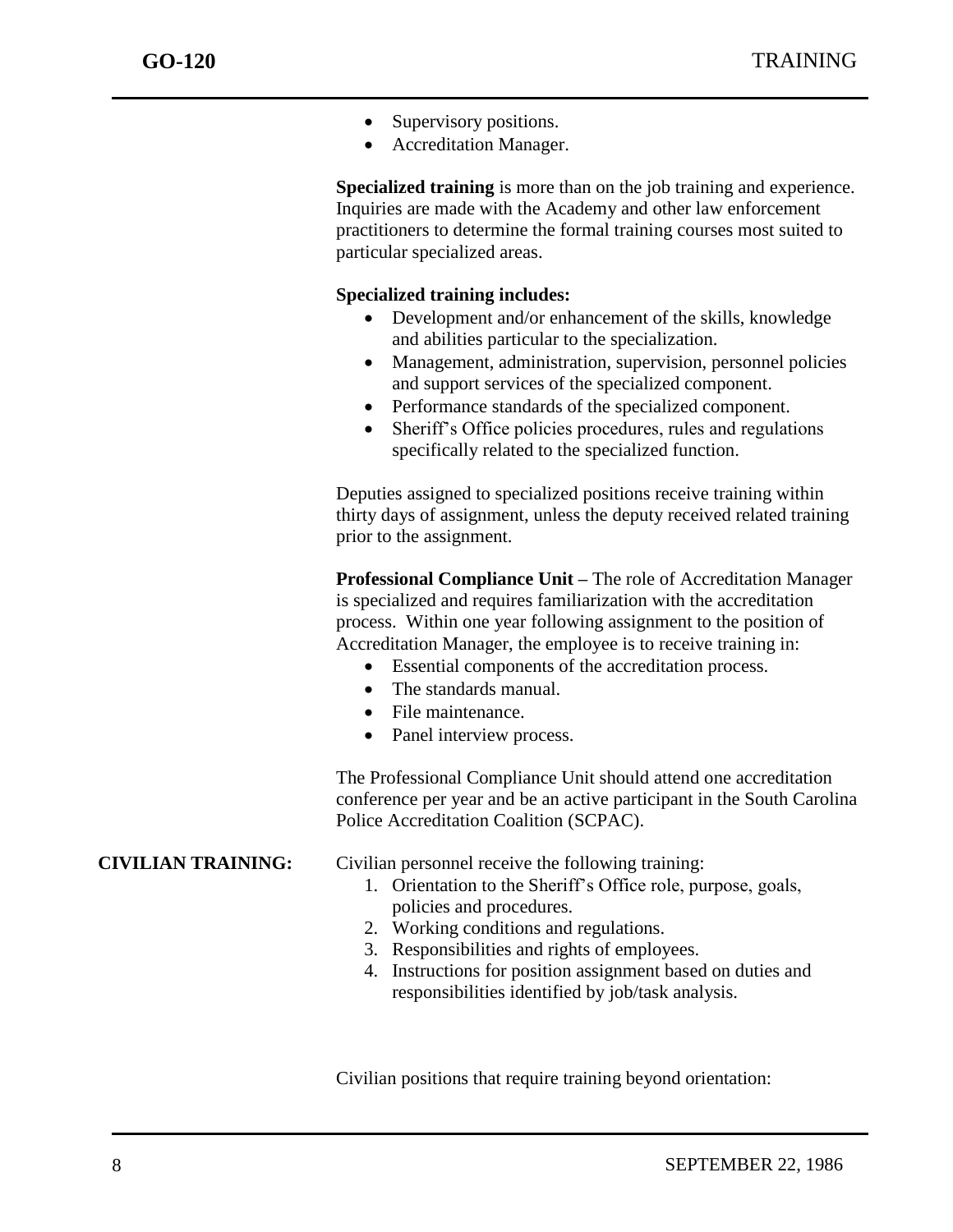- Supervisory positions.
- Accreditation Manager.

**Specialized training** is more than on the job training and experience. Inquiries are made with the Academy and other law enforcement practitioners to determine the formal training courses most suited to particular specialized areas.

### **Specialized training includes:**

- Development and/or enhancement of the skills, knowledge and abilities particular to the specialization.
- Management, administration, supervision, personnel policies and support services of the specialized component.
- Performance standards of the specialized component.
- Sheriff's Office policies procedures, rules and regulations specifically related to the specialized function.

Deputies assigned to specialized positions receive training within thirty days of assignment, unless the deputy received related training prior to the assignment.

**Professional Compliance Unit –** The role of Accreditation Manager is specialized and requires familiarization with the accreditation process. Within one year following assignment to the position of Accreditation Manager, the employee is to receive training in:

- Essential components of the accreditation process.
- The standards manual.
- File maintenance.
- Panel interview process.

The Professional Compliance Unit should attend one accreditation conference per year and be an active participant in the South Carolina Police Accreditation Coalition (SCPAC).

- **CIVILIAN TRAINING:** Civilian personnel receive the following training:
	- 1. Orientation to the Sheriff's Office role, purpose, goals, policies and procedures.
	- 2. Working conditions and regulations.
	- 3. Responsibilities and rights of employees.
	- 4. Instructions for position assignment based on duties and responsibilities identified by job/task analysis.

Civilian positions that require training beyond orientation: